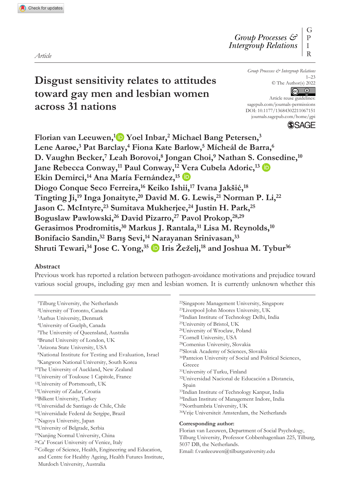**Disgust sensitivity relates to attitudes toward gay men and lesbian women across 31 nations**

*Group Processes & Intergroup Relations* 1–23 © The Author(s) 2022  $\boxed{6}$ 

DOI: 10.1177/13684302211067151 Article reuse guidelines: [sagepub.com/journals-permissions](https://uk.sagepub.com/en-gb/journals-permissions) [journals.sagepub.com/home/gpi](https://journals.sagepub.com/home/gpi)

**SAGE** 

Florian van Leeuwen,<sup>1</sup> Yoel Inbar,<sup>2</sup> Michael Bang Petersen,<sup>3</sup> **Lene Aarøe,3 Pat Barclay,4 Fiona Kate Barlow,5 Mícheál de Barra,6 D. Vaughn Becker,7 Leah Borovoi,8 Jongan Choi,9 Nathan S. Consedine,10 Jane Rebecca Conway,11 Paul Conway,12 Vera Cubela Adoric,13** Ekin Demirci,<sup>14</sup> Ana María Fernández,<sup>15</sup> D **Diogo Conque Seco Ferreira,16 Keiko Ishii,17 Ivana Jakšić,<sup>18</sup> Tingting Ji,19 Inga Jonaityte,20 David M. G. Lewis,21 Norman P. Li,22** Jason C. McIntyre,<sup>23</sup> Sumitava Mukherjee,<sup>24</sup> Justin H. Park,<sup>25</sup> **Boguslaw Pawlowski,26 David Pizarro,27 Pavol Prokop,28,29 Gerasimos Prodromitis,30 Markus J. Rantala,31 Lisa M. Reynolds,10 Bonifacio Sandin,32 Barış Sevi,14 Narayanan Srinivasan,33 Shruti Tewari,34 Jose C. Yong,35 Iris Žeželj,18 and Joshua M. Tybur36**

#### **Abstract**

Previous work has reported a relation between pathogen-avoidance motivations and prejudice toward various social groups, including gay men and lesbian women. It is currently unknown whether this

1Tilburg University, the Netherlands 2University of Toronto, Canada 3Aarhus University, Denmark 4University of Guelph, Canada 5The University of Queensland, Australia 6Brunel University of London, UK 7Arizona State University, USA 8National Institute for Testing and Evaluation, Israel 9Kangwon National University, South Korea 10The University of Auckland, New Zealand 11University of Toulouse 1 Capitole, France 12University of Portsmouth, UK 13University of Zadar, Croatia 14Bilkent University, Turkey 15Universidad de Santiago de Chile, Chile 16Universidade Federal de Sergipe, Brazil 17Nagoya University, Japan 18University of Belgrade, Serbia 19Nanjing Normal University, China 20Ca' Foscari University of Venice, Italy 21College of Science, Health, Engineering and Education, and Centre for Healthy Ageing, Health Futures Institute, Murdoch University, Australia

- 22Singapore Management University, Singapore 23Liverpool John Moores University, UK 24Indian Institute of Technology Delhi, India 25University of Bristol, UK 26University of Wroclaw, Poland 27Cornell University, USA 28Comenius University, Slovakia 29Slovak Academy of Sciences, Slovakia 30Panteion University of Social and Political Sciences, Greece 31University of Turku, Finland 32Universidad Nacional de Educación a Distancia, Spain 33Indian Institute of Technology Kanpur, India 34Indian Institute of Management Indore, India 35Northumbria University, UK 36Vrije Universiteit Amsterdam, the Netherlands **Corresponding author:** Florian van Leeuwen, Department of Social Psychology, Tilburg University, Professor Cobbenhagenlaan 225, Tilburg, 5037 DB, the Netherlands.
- Email: [f.vanleeuwen@tilburguniversity.edu](mailto:f.vanleeuwen@tilburguniversity.edu)

*Article*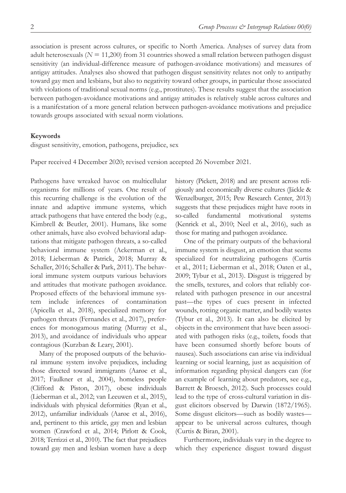association is present across cultures, or specific to North America. Analyses of survey data from adult heterosexuals (*N* = 11,200) from 31 countries showed a small relation between pathogen disgust sensitivity (an individual-difference measure of pathogen-avoidance motivations) and measures of antigay attitudes. Analyses also showed that pathogen disgust sensitivity relates not only to antipathy toward gay men and lesbians, but also to negativity toward other groups, in particular those associated with violations of traditional sexual norms (e.g., prostitutes). These results suggest that the association between pathogen-avoidance motivations and antigay attitudes is relatively stable across cultures and is a manifestation of a more general relation between pathogen-avoidance motivations and prejudice towards groups associated with sexual norm violations.

#### **Keywords**

disgust sensitivity, emotion, pathogens, prejudice, sex

Paper received 4 December 2020; revised version accepted 26 November 2021.

Pathogens have wreaked havoc on multicellular organisms for millions of years. One result of this recurring challenge is the evolution of the innate and adaptive immune systems, which attack pathogens that have entered the body (e.g., Kimbrell & Beutler, 2001). Humans, like some other animals, have also evolved behavioral adaptations that mitigate pathogen threats, a so-called behavioral immune system (Ackerman et al., 2018; Lieberman & Patrick, 2018; Murray & Schaller, 2016; Schaller & Park, 2011). The behavioral immune system outputs various behaviors and attitudes that motivate pathogen avoidance. Proposed effects of the behavioral immune system include inferences of contamination (Apicella et al., 2018), specialized memory for pathogen threats (Fernandes et al., 2017), preferences for monogamous mating (Murray et al., 2013), and avoidance of individuals who appear contagious (Kurzban & Leary, 2001).

Many of the proposed outputs of the behavioral immune system involve prejudices, including those directed toward immigrants (Aarøe et al., 2017; Faulkner et al., 2004), homeless people (Clifford & Piston, 2017), obese individuals (Lieberman et al., 2012; van Leeuwen et al., 2015), individuals with physical deformities (Ryan et al., 2012), unfamiliar individuals (Aarøe et al., 2016), and, pertinent to this article, gay men and lesbian women (Crawford et al., 2014; Pirlott & Cook, 2018; Terrizzi et al., 2010). The fact that prejudices toward gay men and lesbian women have a deep

history (Pickett, 2018) and are present across religiously and economically diverse cultures (Jäckle & Wenzelburger, 2015; Pew Research Center, 2013) suggests that these prejudices might have roots in so-called fundamental motivational systems (Kenrick et al., 2010; Neel et al., 2016), such as those for mating and pathogen avoidance.

One of the primary outputs of the behavioral immune system is disgust, an emotion that seems specialized for neutralizing pathogens (Curtis et al., 2011; Lieberman et al., 2018; Oaten et al., 2009; Tybur et al., 2013). Disgust is triggered by the smells, textures, and colors that reliably correlated with pathogen presence in our ancestral past—the types of cues present in infected wounds, rotting organic matter, and bodily wastes (Tybur et al., 2013). It can also be elicited by objects in the environment that have been associated with pathogen risks (e.g., toilets, foods that have been consumed shortly before bouts of nausea). Such associations can arise via individual learning or social learning, just as acquisition of information regarding physical dangers can (for an example of learning about predators, see e.g., Barrett & Broesch, 2012). Such processes could lead to the type of cross-cultural variation in disgust elicitors observed by Darwin (1872/1965). Some disgust elicitors—such as bodily wastes appear to be universal across cultures, though (Curtis & Biran, 2001).

Furthermore, individuals vary in the degree to which they experience disgust toward disgust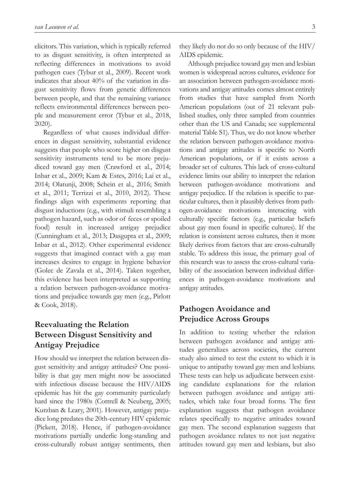elicitors. This variation, which is typically referred to as disgust sensitivity, is often interpreted as reflecting differences in motivations to avoid pathogen cues (Tybur et al., 2009). Recent work indicates that about 40% of the variation in disgust sensitivity flows from genetic differences between people, and that the remaining variance reflects environmental differences between people and measurement error (Tybur et al., 2018, 2020).

Regardless of what causes individual differences in disgust sensitivity, substantial evidence suggests that people who score higher on disgust sensitivity instruments tend to be more prejudiced toward gay men (Crawford et al., 2014; Inbar et al., 2009; Kam & Estes, 2016; Lai et al., 2014; Olatunji, 2008; Schein et al., 2016; Smith et al., 2011; Terrizzi et al., 2010, 2012). These findings align with experiments reporting that disgust inductions (e.g., with stimuli resembling a pathogen hazard, such as odor of feces or spoiled food) result in increased antigay prejudice (Cunningham et al., 2013; Dasgupta et al., 2009; Inbar et al., 2012). Other experimental evidence suggests that imagined contact with a gay man increases desires to engage in hygiene behavior (Golec de Zavala et al., 2014). Taken together, this evidence has been interpreted as supporting a relation between pathogen-avoidance motivations and prejudice towards gay men (e.g., Pirlott & Cook, 2018).

# **Reevaluating the Relation Between Disgust Sensitivity and Antigay Prejudice**

How should we interpret the relation between disgust sensitivity and antigay attitudes? One possibility is that gay men might now be associated with infectious disease because the HIV/AIDS epidemic has hit the gay community particularly hard since the 1980s (Cottrell & Neuberg, 2005; Kurzban & Leary, 2001). However, antigay prejudice long predates the 20th-century HIV epidemic (Pickett, 2018). Hence, if pathogen-avoidance motivations partially underlie long-standing and cross-culturally robust antigay sentiments, then

they likely do not do so only because of the HIV/ AIDS epidemic.

Although prejudice toward gay men and lesbian women is widespread across cultures, evidence for an association between pathogen-avoidance motivations and antigay attitudes comes almost entirely from studies that have sampled from North American populations (out of 21 relevant published studies, only three sampled from countries other than the US and Canada; see supplemental material Table S1). Thus, we do not know whether the relation between pathogen-avoidance motivations and antigay attitudes is specific to North American populations, or if it exists across a broader set of cultures. This lack of cross-cultural evidence limits our ability to interpret the relation between pathogen-avoidance motivations and antigay prejudice. If the relation is specific to particular cultures, then it plausibly derives from pathogen-avoidance motivations interacting with culturally specific factors (e.g., particular beliefs about gay men found in specific cultures). If the relation is consistent across cultures, then it more likely derives from factors that are cross-culturally stable. To address this issue, the primary goal of this research was to assess the cross-cultural variability of the association between individual differences in pathogen-avoidance motivations and antigay attitudes.

# **Pathogen Avoidance and Prejudice Across Groups**

In addition to testing whether the relation between pathogen avoidance and antigay attitudes generalizes across societies, the current study also aimed to test the extent to which it is unique to antipathy toward gay men and lesbians. These tests can help us adjudicate between existing candidate explanations for the relation between pathogen avoidance and antigay attitudes, which take four broad forms. The first explanation suggests that pathogen avoidance relates specifically to negative attitudes toward gay men. The second explanation suggests that pathogen avoidance relates to not just negative attitudes toward gay men and lesbians, but also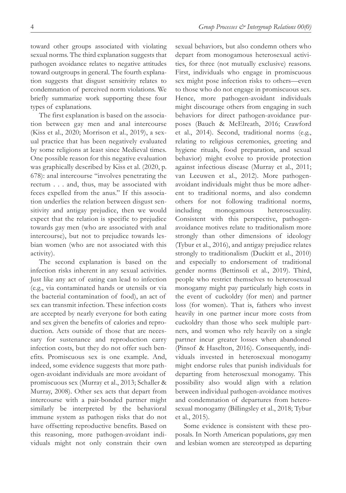toward other groups associated with violating sexual norms. The third explanation suggests that pathogen avoidance relates to negative attitudes toward outgroups in general. The fourth explanation suggests that disgust sensitivity relates to condemnation of perceived norm violations. We briefly summarize work supporting these four types of explanations.

The first explanation is based on the association between gay men and anal intercourse (Kiss et al., 2020; Morrison et al., 2019), a sexual practice that has been negatively evaluated by some religions at least since Medieval times. One possible reason for this negative evaluation was graphically described by Kiss et al. (2020, p. 678): anal intercourse "involves penetrating the rectum . . . and, thus, may be associated with feces expelled from the anus." If this association underlies the relation between disgust sensitivity and antigay prejudice, then we would expect that the relation is specific to prejudice towards gay men (who are associated with anal intercourse), but not to prejudice towards lesbian women (who are not associated with this activity).

The second explanation is based on the infection risks inherent in any sexual activities. Just like any act of eating can lead to infection (e.g., via contaminated hands or utensils or via the bacterial contamination of food), an act of sex can transmit infection. These infection costs are accepted by nearly everyone for both eating and sex given the benefits of calories and reproduction. Acts outside of those that are necessary for sustenance and reproduction carry infection costs, but they do not offer such benefits. Promiscuous sex is one example. And, indeed, some evidence suggests that more pathogen-avoidant individuals are more avoidant of promiscuous sex (Murray et al., 2013; Schaller & Murray, 2008). Other sex acts that depart from intercourse with a pair-bonded partner might similarly be interpreted by the behavioral immune system as pathogen risks that do not have offsetting reproductive benefits. Based on this reasoning, more pathogen-avoidant individuals might not only constrain their own

sexual behaviors, but also condemn others who depart from monogamous heterosexual activities, for three (not mutually exclusive) reasons. First, individuals who engage in promiscuous sex might pose infection risks to others—even to those who do not engage in promiscuous sex. Hence, more pathogen-avoidant individuals might discourage others from engaging in such behaviors for direct pathogen-avoidance purposes (Bauch & McElreath, 2016; Crawford et al., 2014). Second, traditional norms (e.g., relating to religious ceremonies, greeting and hygiene rituals, food preparation, and sexual behavior) might evolve to provide protection against infectious disease (Murray et al., 2011; van Leeuwen et al., 2012). More pathogenavoidant individuals might thus be more adherent to traditional norms, and also condemn others for not following traditional norms, including monogamous heterosexuality. Consistent with this perspective, pathogenavoidance motives relate to traditionalism more strongly than other dimensions of ideology (Tybur et al., 2016), and antigay prejudice relates strongly to traditionalism (Duckitt et al., 2010) and especially to endorsement of traditional gender norms (Bettinsoli et al., 2019). Third, people who restrict themselves to heterosexual monogamy might pay particularly high costs in the event of cuckoldry (for men) and partner loss (for women). That is, fathers who invest heavily in one partner incur more costs from cuckoldry than those who seek multiple partners, and women who rely heavily on a single partner incur greater losses when abandoned (Pinsof & Haselton, 2016). Consequently, individuals invested in heterosexual monogamy might endorse rules that punish individuals for departing from heterosexual monogamy. This possibility also would align with a relation between individual pathogen-avoidance motives and condemnation of departures from heterosexual monogamy (Billingsley et al., 2018; Tybur et al., 2015).

Some evidence is consistent with these proposals. In North American populations, gay men and lesbian women are stereotyped as departing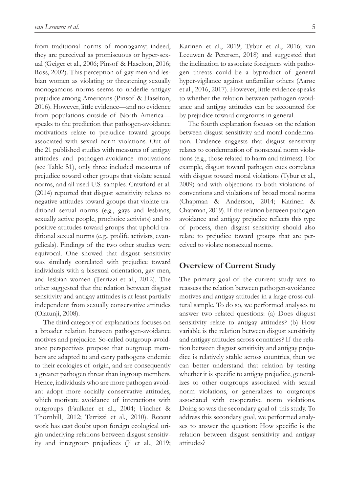from traditional norms of monogamy; indeed, they are perceived as promiscuous or hyper-sexual (Geiger et al., 2006; Pinsof & Haselton, 2016; Ross, 2002). This perception of gay men and lesbian women as violating or threatening sexually monogamous norms seems to underlie antigay prejudice among Americans (Pinsof & Haselton, 2016). However, little evidence—and no evidence from populations outside of North America speaks to the prediction that pathogen-avoidance motivations relate to prejudice toward groups associated with sexual norm violations. Out of the 21 published studies with measures of antigay attitudes and pathogen-avoidance motivations (see Table S1), only three included measures of prejudice toward other groups that violate sexual norms, and all used U.S. samples. Crawford et al. (2014) reported that disgust sensitivity relates to negative attitudes toward groups that violate traditional sexual norms (e.g., gays and lesbians, sexually active people, prochoice activists) and to positive attitudes toward groups that uphold traditional sexual norms (e.g., prolife activists, evangelicals). Findings of the two other studies were equivocal. One showed that disgust sensitivity was similarly correlated with prejudice toward individuals with a bisexual orientation, gay men, and lesbian women (Terrizzi et al., 2012). The other suggested that the relation between disgust sensitivity and antigay attitudes is at least partially independent from sexually conservative attitudes (Olatunji, 2008).

The third category of explanations focuses on a broader relation between pathogen-avoidance motives and prejudice. So-called outgroup-avoidance perspectives propose that outgroup members are adapted to and carry pathogens endemic to their ecologies of origin, and are consequently a greater pathogen threat than ingroup members. Hence, individuals who are more pathogen avoidant adopt more socially conservative attitudes, which motivate avoidance of interactions with outgroups (Faulkner et al., 2004; Fincher & Thornhill, 2012; Terrizzi et al., 2010). Recent work has cast doubt upon foreign ecological origin underlying relations between disgust sensitivity and intergroup prejudices (Ji et al., 2019; Karinen et al., 2019; Tybur et al., 2016; van Leeuwen & Petersen, 2018) and suggested that the inclination to associate foreigners with pathogen threats could be a byproduct of general hyper-vigilance against unfamiliar others (Aarøe et al., 2016, 2017). However, little evidence speaks to whether the relation between pathogen avoidance and antigay attitudes can be accounted for by prejudice toward outgroups in general.

The fourth explanation focuses on the relation between disgust sensitivity and moral condemnation. Evidence suggests that disgust sensitivity relates to condemnation of nonsexual norm violations (e.g., those related to harm and fairness). For example, disgust toward pathogen cues correlates with disgust toward moral violations (Tybur et al., 2009) and with objections to both violations of conventions and violations of broad moral norms (Chapman & Anderson, 2014; Karinen & Chapman, 2019). If the relation between pathogen avoidance and antigay prejudice reflects this type of process, then disgust sensitivity should also relate to prejudice toward groups that are perceived to violate nonsexual norms.

## **Overview of Current Study**

The primary goal of the current study was to reassess the relation between pathogen-avoidance motives and antigay attitudes in a large cross-cultural sample. To do so, we performed analyses to answer two related questions: (a) Does disgust sensitivity relate to antigay attitudes? (b) How variable is the relation between disgust sensitivity and antigay attitudes across countries? If the relation between disgust sensitivity and antigay prejudice is relatively stable across countries, then we can better understand that relation by testing whether it is specific to antigay prejudice, generalizes to other outgroups associated with sexual norm violations, or generalizes to outgroups associated with cooperative norm violations. Doing so was the secondary goal of this study. To address this secondary goal, we performed analyses to answer the question: How specific is the relation between disgust sensitivity and antigay attitudes?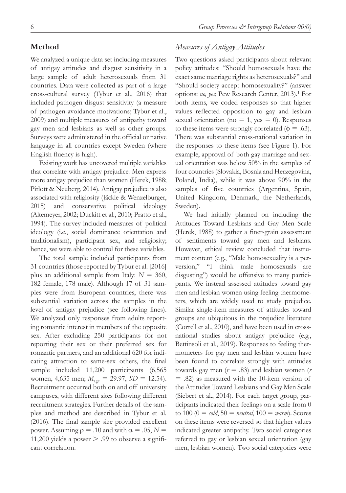## **Method**

We analyzed a unique data set including measures of antigay attitudes and disgust sensitivity in a large sample of adult heterosexuals from 31 countries. Data were collected as part of a large cross-cultural survey (Tybur et al., 2016) that included pathogen disgust sensitivity (a measure of pathogen-avoidance motivations; Tybur et al., 2009) and multiple measures of antipathy toward gay men and lesbians as well as other groups. Surveys were administered in the official or native language in all countries except Sweden (where English fluency is high).

Existing work has uncovered multiple variables that correlate with antigay prejudice. Men express more antigay prejudice than women (Herek, 1988; Pirlott & Neuberg, 2014). Antigay prejudice is also associated with religiosity (Jäckle & Wenzelburger, 2015) and conservative political ideology (Altemeyer, 2002; Duckitt et al., 2010; Pratto et al., 1994). The survey included measures of political ideology (i.e., social dominance orientation and traditionalism), participant sex, and religiosity; hence, we were able to control for these variables.

The total sample included participants from 31 countries (those reported by Tybur et al. [2016] plus an additional sample from Italy:  $N = 360$ , 182 female, 178 male). Although 17 of 31 samples were from European countries, there was substantial variation across the samples in the level of antigay prejudice (see following lines). We analyzed only responses from adults reporting romantic interest in members of the opposite sex. After excluding 250 participants for not reporting their sex or their preferred sex for romantic partners, and an additional 620 for indicating attraction to same-sex others, the final sample included 11,200 participants (6,565 women, 4,635 men;  $M_{\text{age}} = 29.97$ ,  $SD = 12.54$ ). Recruitment occurred both on and off university campuses, with different sites following different recruitment strategies. Further details of the samples and method are described in Tybur et al. (2016). The final sample size provided excellent power. Assuming  $\rho = .10$  and with  $\alpha = .05$ ,  $N =$ 11,200 yields a power  $> 0.99$  to observe a significant correlation.

# *Measures of Antigay Attitudes*

Two questions asked participants about relevant policy attitudes: "Should homosexuals have the exact same marriage rights as heterosexuals?" and "Should society accept homosexuality?" (answer options: *no, yes*; Pew Research Center, 2013).1 For both items, we coded responses so that higher values reflected opposition to gay and lesbian sexual orientation (no  $= 1$ , yes  $= 0$ ). Responses to these items were strongly correlated ( $\phi = .63$ ). There was substantial cross-national variation in the responses to these items (see Figure 1). For example, approval of both gay marriage and sexual orientation was below 50% in the samples of four countries (Slovakia, Bosnia and Herzegovina, Poland, India), while it was above 90% in the samples of five countries (Argentina, Spain, United Kingdom, Denmark, the Netherlands, Sweden).

We had initially planned on including the Attitudes Toward Lesbians and Gay Men Scale (Herek, 1988) to gather a finer-grain assessment of sentiments toward gay men and lesbians. However, ethical review concluded that instrument content (e.g., "Male homosexuality is a perversion," "I think male homosexuals are disgusting") would be offensive to many participants. We instead assessed attitudes toward gay men and lesbian women using feeling thermometers, which are widely used to study prejudice. Similar single-item measures of attitudes toward groups are ubiquitous in the prejudice literature (Correll et al., 2010), and have been used in crossnational studies about antigay prejudice (e.g., Bettinsoli et al., 2019). Responses to feeling thermometers for gay men and lesbian women have been found to correlate strongly with attitudes towards gay men (*r* = .83) and lesbian women (*r* = .82) as measured with the 10-item version of the Attitudes Toward Lesbians and Gay Men Scale (Siebert et al., 2014). For each target group, participants indicated their feelings on a scale from 0 to  $100 (0 = \text{cold}, 50 = \text{neutral}, 100 = \text{warm}$ ). Scores on these items were reversed so that higher values indicated greater antipathy. Two social categories referred to gay or lesbian sexual orientation (gay men, lesbian women). Two social categories were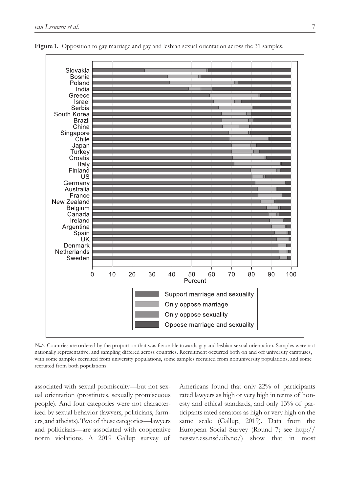

**Figure 1.** Opposition to gay marriage and gay and lesbian sexual orientation across the 31 samples.

*Note*. Countries are ordered by the proportion that was favorable towards gay and lesbian sexual orientation. Samples were not nationally representative, and sampling differed across countries. Recruitment occurred both on and off university campuses, with some samples recruited from university populations, some samples recruited from nonuniversity populations, and some recruited from both populations.

associated with sexual promiscuity—but not sexual orientation (prostitutes, sexually promiscuous people). And four categories were not characterized by sexual behavior (lawyers, politicians, farmers, and atheists). Two of these categories—lawyers and politicians—are associated with cooperative norm violations. A 2019 Gallup survey of

Americans found that only 22% of participants rated lawyers as high or very high in terms of honesty and ethical standards, and only 13% of participants rated senators as high or very high on the same scale (Gallup, 2019). Data from the European Social Survey (Round 7; see [http://](http://nesstar.ess.nsd.uib.no/) [nesstar.ess.nsd.uib.no/\)](http://nesstar.ess.nsd.uib.no/) show that in most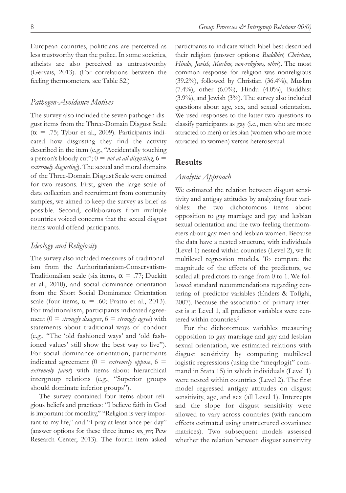European countries, politicians are perceived as less trustworthy than the police. In some societies, atheists are also perceived as untrustworthy (Gervais, 2013). (For correlations between the feeling thermometers, see Table S2.)

### *Pathogen-Avoidance Motives*

The survey also included the seven pathogen disgust items from the Three-Domain Disgust Scale  $(\alpha = .75;$  Tybur et al., 2009). Participants indicated how disgusting they find the activity described in the item (e.g., "Accidentally touching a person's bloody cut";  $0 =$  *not at all disgusting*,  $6 =$ *extremely disgusting*). The sexual and moral domains of the Three-Domain Disgust Scale were omitted for two reasons. First, given the large scale of data collection and recruitment from community samples, we aimed to keep the survey as brief as possible. Second, collaborators from multiple countries voiced concerns that the sexual disgust items would offend participants.

## *Ideology and Religiosity*

The survey also included measures of traditionalism from the Authoritarianism-Conservatism-Traditionalism scale (six items,  $\alpha = .77$ ; Duckitt et al., 2010), and social dominance orientation from the Short Social Dominance Orientation scale (four items,  $\alpha = .60$ ; Pratto et al., 2013). For traditionalism, participants indicated agreement  $(0 = \text{strongly disagree}, 6 = \text{strongly agree})$  with statements about traditional ways of conduct (e.g., "The 'old fashioned ways' and 'old fashioned values' still show the best way to live"). For social dominance orientation, participants indicated agreement  $(0 =$  *extremely oppose*,  $6 =$ *extremely favor*) with items about hierarchical intergroup relations (e.g., "Superior groups should dominate inferior groups").

The survey contained four items about religious beliefs and practices: "I believe faith in God is important for morality," "Religion is very important to my life," and "I pray at least once per day" (answer options for these three items: *no, yes*; Pew Research Center, 2013). The fourth item asked participants to indicate which label best described their religion (answer options: *Buddhist, Christian, Hindu, Jewish, Muslim, non-religious, other*). The most common response for religion was nonreligious (39.2%), followed by Christian (36.4%), Muslim (7.4%), other  $(6.0\%)$ , Hindu  $(4.0\%)$ , Buddhist (3.9%), and Jewish (3%). The survey also included questions about age, sex, and sexual orientation. We used responses to the latter two questions to classify participants as gay (i.e., men who are more attracted to men) or lesbian (women who are more attracted to women) versus heterosexual.

### **Results**

# *Analytic Approach*

We estimated the relation between disgust sensitivity and antigay attitudes by analyzing four variables: the two dichotomous items about opposition to gay marriage and gay and lesbian sexual orientation and the two feeling thermometers about gay men and lesbian women. Because the data have a nested structure, with individuals (Level 1) nested within countries (Level 2), we fit multilevel regression models. To compare the magnitude of the effects of the predictors, we scaled all predictors to range from 0 to 1. We followed standard recommendations regarding centering of predictor variables (Enders & Tofighi, 2007). Because the association of primary interest is at Level 1, all predictor variables were centered within countries.<sup>2</sup>

For the dichotomous variables measuring opposition to gay marriage and gay and lesbian sexual orientation, we estimated relations with disgust sensitivity by computing multilevel logistic regressions (using the "meqrlogit" command in Stata 15) in which individuals (Level 1) were nested within countries (Level 2). The first model regressed antigay attitudes on disgust sensitivity, age, and sex (all Level 1). Intercepts and the slope for disgust sensitivity were allowed to vary across countries (with random effects estimated using unstructured covariance matrices). Two subsequent models assessed whether the relation between disgust sensitivity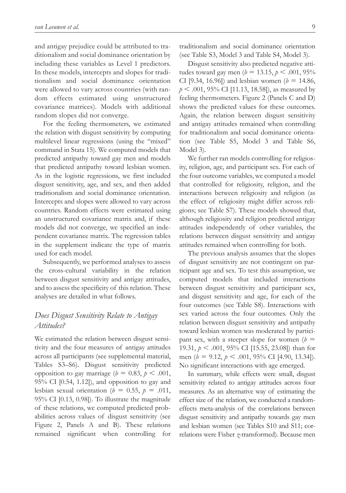and antigay prejudice could be attributed to traditionalism and social dominance orientation by including these variables as Level 1 predictors. In these models, intercepts and slopes for traditionalism and social dominance orientation were allowed to vary across countries (with random effects estimated using unstructured covariance matrices). Models with additional random slopes did not converge.

For the feeling thermometers, we estimated the relation with disgust sensitivity by computing multilevel linear regressions (using the "mixed" command in Stata 15). We computed models that predicted antipathy toward gay men and models that predicted antipathy toward lesbian women. As in the logistic regressions, we first included disgust sensitivity, age, and sex, and then added traditionalism and social dominance orientation. Intercepts and slopes were allowed to vary across countries. Random effects were estimated using an unstructured covariance matrix and, if these models did not converge, we specified an independent covariance matrix. The regression tables in the supplement indicate the type of matrix used for each model.

Subsequently, we performed analyses to assess the cross-cultural variability in the relation between disgust sensitivity and antigay attitudes, and to assess the specificity of this relation. These analyses are detailed in what follows.

# *Does Disgust Sensitivity Relate to Antigay Attitudes?*

We estimated the relation between disgust sensitivity and the four measures of antigay attitudes across all participants (see supplemental material, Tables S3–S6). Disgust sensitivity predicted opposition to gay marriage ( $b = 0.83$ ,  $p < .001$ , 95% CI [0.54, 1.12]), and opposition to gay and lesbian sexual orientation ( $b = 0.55$ ,  $p = .011$ , 95% CI [0.13, 0.98]). To illustrate the magnitude of these relations, we computed predicted probabilities across values of disgust sensitivity (see Figure 2, Panels A and B). These relations remained significant when controlling for

traditionalism and social dominance orientation (see Table S3, Model 3 and Table S4, Model 3).

Disgust sensitivity also predicted negative attitudes toward gay men ( $b = 13.15$ ,  $p < .001$ , 95% CI [9.34, 16.96]) and lesbian women ( $b = 14.86$ , *p* < .001, 95% CI [11.13, 18.58]), as measured by feeling thermometers. Figure 2 (Panels C and D) shows the predicted values for these outcomes. Again, the relation between disgust sensitivity and antigay attitudes remained when controlling for traditionalism and social dominance orientation (see Table S5, Model 3 and Table S6, Model 3).

We further ran models controlling for religiosity, religion, age, and participant sex. For each of the four outcome variables, we computed a model that controlled for religiosity, religion, and the interactions between religiosity and religion (as the effect of religiosity might differ across religions; see Table S7). These models showed that, although religiosity and religion predicted antigay attitudes independently of other variables, the relations between disgust sensitivity and antigay attitudes remained when controlling for both.

The previous analysis assumes that the slopes of disgust sensitivity are not contingent on participant age and sex. To test this assumption, we computed models that included interactions between disgust sensitivity and participant sex, and disgust sensitivity and age, for each of the four outcomes (see Table S8). Interactions with sex varied across the four outcomes. Only the relation between disgust sensitivity and antipathy toward lesbian women was moderated by participant sex, with a steeper slope for women  $(b =$ 19.31, *p* < .001, 95% CI [15.55, 23.08]) than for men (*b* = 9.12, *p* < .001, 95% CI [4.90, 13.34]). No significant interactions with age emerged.

In summary, while effects were small, disgust sensitivity related to antigay attitudes across four measures. As an alternative way of estimating the effect size of the relation, we conducted a randomeffects meta-analysis of the correlations between disgust sensitivity and antipathy towards gay men and lesbian women (see Tables S10 and S11; correlations were Fisher *z*-transformed). Because men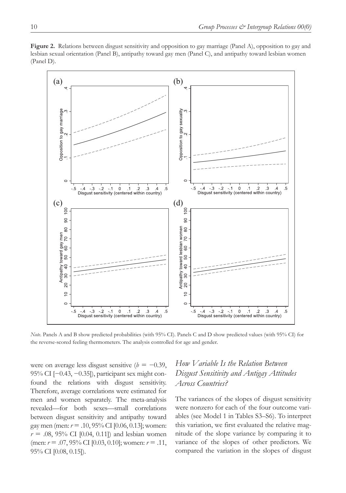

80

toward lesbian women<br> $40\quad 50\quad 60\quad 70\quad 80$ 

Antipathy t<br> $20$  30  $\prime$ 

 $\tilde{a}$ 

 $\circ$ 

 $-.5$  $-4$  $-.3$  $-2$  $-1$  $\Omega$  $\overline{1}$  $\overline{2}$ 3

**Figure 2.** Relations between disgust sensitivity and opposition to gay marriage (Panel A), opposition to gay and lesbian sexual orientation (Panel B), antipathy toward gay men (Panel C), and antipathy toward lesbian women (Panel D).

*Note*. Panels A and B show predicted probabilities (with 95% CI). Panels C and D show predicted values (with 95% CI) for the reverse-scored feeling thermometers. The analysis controlled for age and gender.

were on average less disgust sensitive ( $b = -0.39$ , 95% CI [−0.43, −0.35]), participant sex might confound the relations with disgust sensitivity. Therefore, average correlations were estimated for men and women separately. The meta-analysis revealed—for both sexes—small correlations between disgust sensitivity and antipathy toward gay men (men: *r* = .10, 95% CI [0.06, 0.13]; women:  $r = .08, 95\%$  CI [0.04, 0.11]) and lesbian women (men: *r* = .07, 95% CI [0.03, 0.10]; women: *r* = .11, 95% CI [0.08, 0.15]).

Disgust sensitivity (centered within country)

 $\overline{6}$ 

80

toward gay men<br>50 60 70  $\cdot$ 

Antipathy to<br>1 30 40

 $\overline{20}$  $\tilde{a}$ 

 $\circ$ 

 $-5.5$  $-4$  $-.3$  $-2$  $-1$  $\Omega$  $\overline{1}$  $\overline{2}$  $\mathcal{A}$ 

# *How Variable Is the Relation Between Disgust Sensitivity and Antigay Attitudes Across Countries?*

Disgust sensitivity (centered within country)

The variances of the slopes of disgust sensitivity were nonzero for each of the four outcome variables (see Model 1 in Tables S3–S6). To interpret this variation, we first evaluated the relative magnitude of the slope variance by comparing it to variance of the slopes of other predictors. We compared the variation in the slopes of disgust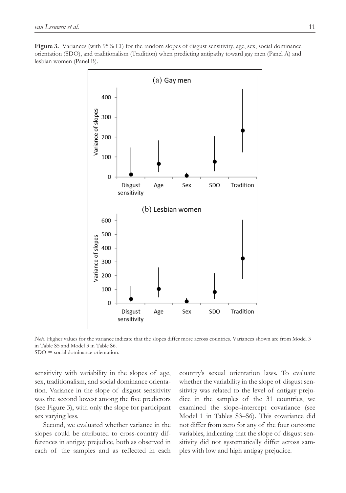**Figure 3.** Variances (with 95% CI) for the random slopes of disgust sensitivity, age, sex, social dominance orientation (SDO), and traditionalism (Tradition) when predicting antipathy toward gay men (Panel A) and lesbian women (Panel B).



*Note*. Higher values for the variance indicate that the slopes differ more across countries. Variances shown are from Model 3 in Table S5 and Model 3 in Table S6.

 $SDO = social dominance orientation$ .

sensitivity with variability in the slopes of age, sex, traditionalism, and social dominance orientation. Variance in the slope of disgust sensitivity was the second lowest among the five predictors (see Figure 3), with only the slope for participant sex varying less.

Second, we evaluated whether variance in the slopes could be attributed to cross-country differences in antigay prejudice, both as observed in each of the samples and as reflected in each

country's sexual orientation laws. To evaluate whether the variability in the slope of disgust sensitivity was related to the level of antigay prejudice in the samples of the 31 countries, we examined the slope–intercept covariance (see Model 1 in Tables S3–S6). This covariance did not differ from zero for any of the four outcome variables, indicating that the slope of disgust sensitivity did not systematically differ across samples with low and high antigay prejudice.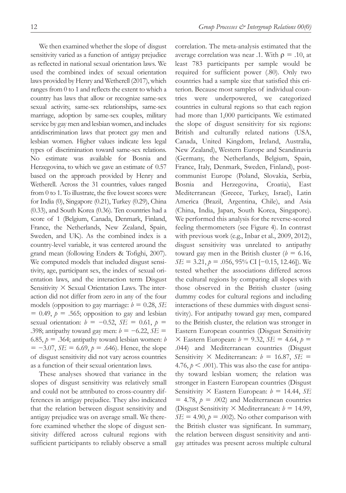We then examined whether the slope of disgust sensitivity varied as a function of antigay prejudice as reflected in national sexual orientation laws. We used the combined index of sexual orientation laws provided by Henry and Wetherell (2017), which ranges from 0 to 1 and reflects the extent to which a country has laws that allow or recognize same-sex sexual activity, same-sex relationships, same-sex marriage, adoption by same-sex couples, military service by gay men and lesbian women, and includes antidiscrimination laws that protect gay men and lesbian women. Higher values indicate less legal types of discrimination toward same-sex relations. No estimate was available for Bosnia and Herzegovina, to which we gave an estimate of 0.57 based on the approach provided by Henry and Wetherell. Across the 31 countries, values ranged from 0 to 1. To illustrate, the five lowest scores were for India (0), Singapore (0.21), Turkey (0.29), China (0.33), and South Korea (0.36). Ten countries had a score of 1 (Belgium, Canada, Denmark, Finland, France, the Netherlands, New Zealand, Spain, Sweden, and UK). As the combined index is a country-level variable, it was centered around the grand mean (following Enders & Tofighi, 2007). We computed models that included disgust sensitivity, age, participant sex, the index of sexual orientation laws, and the interaction term Disgust Sensitivity  $\times$  Sexual Orientation Laws. The interaction did not differ from zero in any of the four models (opposition to gay marriage:  $b = 0.28$ , *SE*  $= 0.49$ ,  $p = .565$ ; opposition to gay and lesbian sexual orientation:  $b = -0.52$ ,  $SE = 0.61$ ,  $p =$ .398; antipathy toward gay men: *b* = −6.22, *SE* = 6.85,  $p = .364$ ; antipathy toward lesbian women: *b* = −3.07, *SE* = 6.69, *p* = .646). Hence, the slope of disgust sensitivity did not vary across countries as a function of their sexual orientation laws.

These analyses showed that variance in the slopes of disgust sensitivity was relatively small and could not be attributed to cross-country differences in antigay prejudice. They also indicated that the relation between disgust sensitivity and antigay prejudice was on average small. We therefore examined whether the slope of disgust sensitivity differed across cultural regions with sufficient participants to reliably observe a small

correlation. The meta-analysis estimated that the average correlation was near .1. With  $\rho = .10$ , at least 783 participants per sample would be required for sufficient power (.80). Only two countries had a sample size that satisfied this criterion. Because most samples of individual countries were underpowered, we categorized countries in cultural regions so that each region had more than 1,000 participants. We estimated the slope of disgust sensitivity for six regions: British and culturally related nations (USA, Canada, United Kingdom, Ireland, Australia, New Zealand), Western Europe and Scandinavia (Germany, the Netherlands, Belgium, Spain, France, Italy, Denmark, Sweden, Finland), postcommunist Europe (Poland, Slovakia, Serbia, Bosnia and Herzegovina, Croatia), East Mediterranean (Greece, Turkey, Israel), Latin America (Brazil, Argentina, Chile), and Asia (China, India, Japan, South Korea, Singapore). We performed this analysis for the reverse-scored feeling thermometers (see Figure 4). In contrast with previous work (e.g., Inbar et al., 2009, 2012), disgust sensitivity was unrelated to antipathy toward gay men in the British cluster  $(b = 6.16,$ *SE* = 3.21, *p* = .056, 95% CI [−0.15, 12.46]). We tested whether the associations differed across the cultural regions by comparing all slopes with those observed in the British cluster (using dummy codes for cultural regions and including interactions of these dummies with disgust sensitivity). For antipathy toward gay men, compared to the British cluster, the relation was stronger in Eastern European countries (Disgust Sensitivity  $\times$  Eastern European:  $b = 9.32$ ,  $SE = 4.64$ ,  $p =$ .044) and Mediterranean countries (Disgust Sensitivity  $\times$  Mediterranean:  $b = 16.87$ ,  $SE =$ 4.76,  $p < .001$ ). This was also the case for antipathy toward lesbian women; the relation was stronger in Eastern European countries (Disgust Sensitivity  $\times$  Eastern European:  $b = 14.44$ , *SE*  $= 4.78$ ,  $p = .002$ ) and Mediterranean countries (Disgust Sensitivity  $\times$  Mediterranean:  $b = 14.99$ ,  $SE = 4.90$ ,  $p = .002$ ). No other comparison with the British cluster was significant. In summary, the relation between disgust sensitivity and antigay attitudes was present across multiple cultural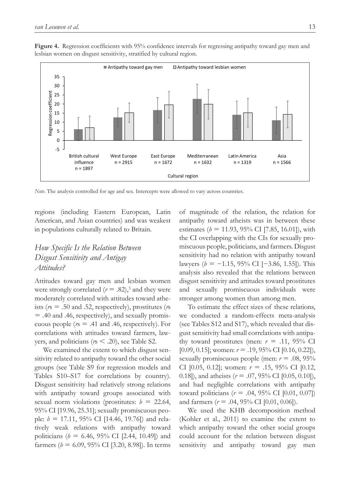**Figure 4.** Regression coefficients with 95% confidence intervals for regressing antipathy toward gay men and lesbian women on disgust sensitivity, stratified by cultural region.



*Note*. The analysis controlled for age and sex. Intercepts were allowed to vary across countries.

regions (including Eastern European, Latin American, and Asian countries) and was weakest in populations culturally related to Britain.

# *How Specific Is the Relation Between Disgust Sensitivity and Antigay Attitudes?*

Attitudes toward gay men and lesbian women were strongly correlated  $(r=.82)$ ,<sup>3</sup> and they were moderately correlated with attitudes toward atheists (*r*s = .50 and .52, respectively), prostitutes (*r*s = .40 and .46, respectively), and sexually promiscuous people ( $r = .41$  and .46, respectively). For correlations with attitudes toward farmers, lawyers, and politicians (*r*s < .20), see Table S2.

We examined the extent to which disgust sensitivity related to antipathy toward the other social groups (see Table S9 for regression models and Tables S10–S17 for correlations by country). Disgust sensitivity had relatively strong relations with antipathy toward groups associated with sexual norm violations (prostitutes:  $b = 22.64$ , 95% CI [19.96, 25.31]; sexually promiscuous people: *b* = 17.11, 95% CI [14.46, 19.76]) and relatively weak relations with antipathy toward politicians ( $b = 6.46, 95\%$  CI [2.44, 10.49]) and farmers ( $b = 6.09, 95\%$  CI [3.20, 8.98]). In terms

of magnitude of the relation, the relation for antipathy toward atheists was in between these estimates ( $b = 11.93, 95\%$  CI [7.85, 16.01]), with the CI overlapping with the CIs for sexually promiscuous people, politicians, and farmers. Disgust sensitivity had no relation with antipathy toward lawyers (*b* = −1.15, 95% CI [−3.86, 1.55]). This analysis also revealed that the relations between disgust sensitivity and attitudes toward prostitutes and sexually promiscuous individuals were stronger among women than among men.

To estimate the effect sizes of these relations, we conducted a random-effects meta-analysis (see Tables S12 and S17), which revealed that disgust sensitivity had small correlations with antipathy toward prostitutes (men:  $r = .11,95\%$  CI [0.09, 0.15]; women: *r* = .19, 95% CI [0.16, 0.22]), sexually promiscuous people (men: *r* = .08, 95% CI [0.05, 0.12]; women: *r* = .15, 95% CI [0.12, 0.18]), and atheists (*r* = .07, 95% CI [0.05, 0.10]), and had negligible correlations with antipathy toward politicians (*r* = .04, 95% CI [0.01, 0.07]) and farmers ( $r = .04, 95\%$  CI [0.01, 0.06]).

We used the KHB decomposition method (Kohler et al., 2011) to examine the extent to which antipathy toward the other social groups could account for the relation between disgust sensitivity and antipathy toward gay men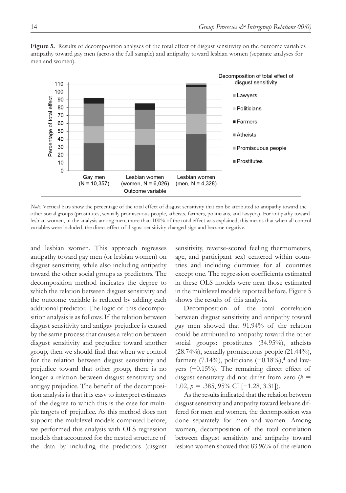

**Figure 5.** Results of decomposition analyses of the total effect of disgust sensitivity on the outcome variables antipathy toward gay men (across the full sample) and antipathy toward lesbian women (separate analyses for men and women).

*Note*. Vertical bars show the percentage of the total effect of disgust sensitivity that can be attributed to antipathy toward the other social groups (prostitutes, sexually promiscuous people, atheists, farmers, politicians, and lawyers). For antipathy toward lesbian women, in the analysis among men, more than 100% of the total effect was explained; this means that when all control variables were included, the direct effect of disgust sensitivity changed sign and became negative.

and lesbian women. This approach regresses antipathy toward gay men (or lesbian women) on disgust sensitivity, while also including antipathy toward the other social groups as predictors. The decomposition method indicates the degree to which the relation between disgust sensitivity and the outcome variable is reduced by adding each additional predictor. The logic of this decomposition analysis is as follows. If the relation between disgust sensitivity and antigay prejudice is caused by the same process that causes a relation between disgust sensitivity and prejudice toward another group, then we should find that when we control for the relation between disgust sensitivity and prejudice toward that other group, there is no longer a relation between disgust sensitivity and antigay prejudice. The benefit of the decomposition analysis is that it is easy to interpret estimates of the degree to which this is the case for multiple targets of prejudice. As this method does not support the multilevel models computed before, we performed this analysis with OLS regression models that accounted for the nested structure of the data by including the predictors (disgust

sensitivity, reverse-scored feeling thermometers, age, and participant sex) centered within countries and including dummies for all countries except one. The regression coefficients estimated in these OLS models were near those estimated in the multilevel models reported before. Figure 5 shows the results of this analysis.

Decomposition of the total correlation between disgust sensitivity and antipathy toward gay men showed that 91.94% of the relation could be attributed to antipathy toward the other social groups: prostitutes (34.95%), atheists (28.74%), sexually promiscuous people (21.44%), farmers (7.14%), politicians  $(-0.18\%)$ ,<sup>4</sup> and lawyers (−0.15%). The remaining direct effect of disgust sensitivity did not differ from zero  $(b =$ 1.02,  $p = .385, 95\%$  CI [−1.28, 3.31]).

As the results indicated that the relation between disgust sensitivity and antipathy toward lesbians differed for men and women, the decomposition was done separately for men and women. Among women, decomposition of the total correlation between disgust sensitivity and antipathy toward lesbian women showed that 83.96% of the relation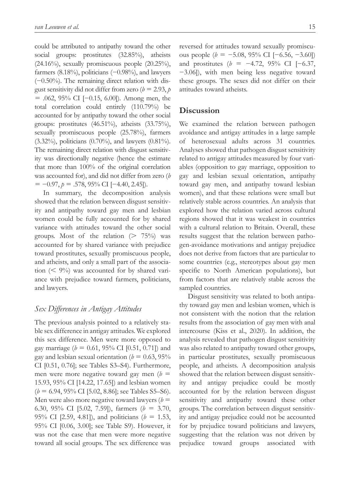could be attributed to antipathy toward the other social groups: prostitutes (32.85%), atheists  $(24.16\%)$ , sexually promiscuous people  $(20.25\%)$ , farmers (8.18%), politicians (−0.98%), and lawyers (−0.50%). The remaining direct relation with disgust sensitivity did not differ from zero ( $b = 2.93$ ,  $p$ = .062, 95% CI [−0.15, 6.00]). Among men, the total correlation could entirely (110.79%) be accounted for by antipathy toward the other social groups: prostitutes (46.51%), atheists (33.75%), sexually promiscuous people (25.78%), farmers (3.32%), politicians (0.70%), and lawyers (0.81%). The remaining direct relation with disgust sensitivity was directionally negative (hence the estimate that more than 100% of the original correlation was accounted for), and did not differ from zero (*b* = −0.97, *p* = .578, 95% CI [−4.40, 2.45]).

In summary, the decomposition analysis showed that the relation between disgust sensitivity and antipathy toward gay men and lesbian women could be fully accounted for by shared variance with attitudes toward the other social groups. Most of the relation ( $> 75\%$ ) was accounted for by shared variance with prejudice toward prostitutes, sexually promiscuous people, and atheists, and only a small part of the association  $(< 9\%)$  was accounted for by shared variance with prejudice toward farmers, politicians, and lawyers.

## *Sex Differences in Antigay Attitudes*

The previous analysis pointed to a relatively stable sex difference in antigay attitudes. We explored this sex difference. Men were more opposed to gay marriage ( $b = 0.61, 95\%$  CI [0.51, 0.71]) and gay and lesbian sexual orientation ( $b = 0.63, 95\%$ CI [0.51, 0.76]; see Tables S3–S4). Furthermore, men were more negative toward gay men  $(b =$ 15.93, 95% CI [14.22, 17.65]) and lesbian women (*b* = 6.94, 95% CI [5.02, 8.86]; see Tables S5–S6). Men were also more negative toward lawyers  $(b =$ 6.30, 95% CI [5.02, 7.59]), farmers (*b* = 3.70, 95% CI [2.59, 4.81]), and politicians  $(b = 1.53,$ 95% CI [0.06, 3.00]; see Table S9). However, it was not the case that men were more negative toward all social groups. The sex difference was

reversed for attitudes toward sexually promiscuous people (*b* = −5.08, 95% CI [−6.56, −3.60]) and prostitutes (*b* = −4.72, 95% CI [−6.37, −3.06]), with men being less negative toward these groups. The sexes did not differ on their attitudes toward atheists.

# **Discussion**

We examined the relation between pathogen avoidance and antigay attitudes in a large sample of heterosexual adults across 31 countries. Analyses showed that pathogen disgust sensitivity related to antigay attitudes measured by four variables (opposition to gay marriage, opposition to gay and lesbian sexual orientation, antipathy toward gay men, and antipathy toward lesbian women), and that these relations were small but relatively stable across countries. An analysis that explored how the relation varied across cultural regions showed that it was weakest in countries with a cultural relation to Britain. Overall, these results suggest that the relation between pathogen-avoidance motivations and antigay prejudice does not derive from factors that are particular to some countries (e.g., stereotypes about gay men specific to North American populations), but from factors that are relatively stable across the sampled countries.

Disgust sensitivity was related to both antipathy toward gay men and lesbian women, which is not consistent with the notion that the relation results from the association of gay men with anal intercourse (Kiss et al., 2020). In addition, the analysis revealed that pathogen disgust sensitivity was also related to antipathy toward other groups, in particular prostitutes, sexually promiscuous people, and atheists. A decomposition analysis showed that the relation between disgust sensitivity and antigay prejudice could be mostly accounted for by the relation between disgust sensitivity and antipathy toward these other groups. The correlation between disgust sensitivity and antigay prejudice could not be accounted for by prejudice toward politicians and lawyers, suggesting that the relation was not driven by prejudice toward groups associated with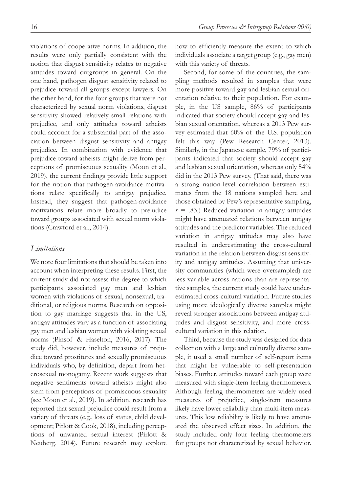violations of cooperative norms. In addition, the results were only partially consistent with the notion that disgust sensitivity relates to negative attitudes toward outgroups in general. On the one hand, pathogen disgust sensitivity related to prejudice toward all groups except lawyers. On the other hand, for the four groups that were not characterized by sexual norm violations, disgust sensitivity showed relatively small relations with prejudice, and only attitudes toward atheists could account for a substantial part of the association between disgust sensitivity and antigay prejudice. In combination with evidence that prejudice toward atheists might derive from perceptions of promiscuous sexuality (Moon et al., 2019), the current findings provide little support for the notion that pathogen-avoidance motivations relate specifically to antigay prejudice. Instead, they suggest that pathogen-avoidance motivations relate more broadly to prejudice toward groups associated with sexual norm violations (Crawford et al., 2014).

## *Limitations*

We note four limitations that should be taken into account when interpreting these results. First, the current study did not assess the degree to which participants associated gay men and lesbian women with violations of sexual, nonsexual, traditional, or religious norms. Research on opposition to gay marriage suggests that in the US, antigay attitudes vary as a function of associating gay men and lesbian women with violating sexual norms (Pinsof & Haselton, 2016, 2017). The study did, however, include measures of prejudice toward prostitutes and sexually promiscuous individuals who, by definition, depart from heterosexual monogamy. Recent work suggests that negative sentiments toward atheists might also stem from perceptions of promiscuous sexuality (see Moon et al., 2019). In addition, research has reported that sexual prejudice could result from a variety of threats (e.g., loss of status, child development; Pirlott & Cook, 2018), including perceptions of unwanted sexual interest (Pirlott & Neuberg, 2014). Future research may explore how to efficiently measure the extent to which individuals associate a target group (e.g., gay men) with this variety of threats.

Second, for some of the countries, the sampling methods resulted in samples that were more positive toward gay and lesbian sexual orientation relative to their population. For example, in the US sample, 86% of participants indicated that society should accept gay and lesbian sexual orientation, whereas a 2013 Pew survey estimated that 60% of the U.S. population felt this way (Pew Research Center, 2013). Similarly, in the Japanese sample, 79% of participants indicated that society should accept gay and lesbian sexual orientation, whereas only 54% did in the 2013 Pew survey. (That said, there was a strong nation-level correlation between estimates from the 18 nations sampled here and those obtained by Pew's representative sampling,  $r = .83$ .) Reduced variation in antigay attitudes might have attenuated relations between antigay attitudes and the predictor variables. The reduced variation in antigay attitudes may also have resulted in underestimating the cross-cultural variation in the relation between disgust sensitivity and antigay attitudes. Assuming that university communities (which were oversampled) are less variable across nations than are representative samples, the current study could have underestimated cross-cultural variation. Future studies using more ideologically diverse samples might reveal stronger associations between antigay attitudes and disgust sensitivity, and more crosscultural variation in this relation.

Third, because the study was designed for data collection with a large and culturally diverse sample, it used a small number of self-report items that might be vulnerable to self-presentation biases. Further, attitudes toward each group were measured with single-item feeling thermometers. Although feeling thermometers are widely used measures of prejudice, single-item measures likely have lower reliability than multi-item measures. This low reliability is likely to have attenuated the observed effect sizes. In addition, the study included only four feeling thermometers for groups not characterized by sexual behavior.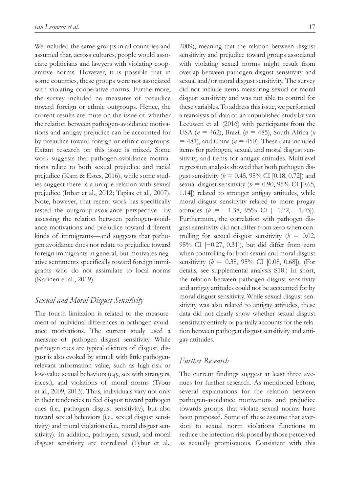We included the same groups in all countries and assumed that, across cultures, people would associate politicians and lawyers with violating cooperative norms. However, it is possible that in some countries, these groups were not associated with violating cooperative norms. Furthermore, the survey included no measures of prejudice toward foreign or ethnic outgroups. Hence, the current results are mute on the issue of whether the relation between pathogen-avoidance motivations and antigay prejudice can be accounted for by prejudice toward foreign or ethnic outgroups. Extant research on this issue is mixed. Some work suggests that pathogen-avoidance motivations relate to both sexual prejudice and racial prejudice (Kam & Estes, 2016), while some studies suggest there is a unique relation with sexual prejudice (Inbar et al., 2012; Tapias et al., 2007). Note, however, that recent work has specifically tested the outgroup-avoidance perspective—by assessing the relation between pathogen-avoidance motivations and prejudice toward different kinds of immigrants—and suggests that pathogen avoidance does not relate to prejudice toward foreign immigrants in general, but motivates negative sentiments specifically toward foreign immigrants who do not assimilate to local norms (Karinen et al., 2019).

## *Sexual and Moral Disgust Sensitivity*

The fourth limitation is related to the measurement of individual differences in pathogen-avoidance motivations. The current study used a measure of pathogen disgust sensitivity. While pathogen cues are typical elicitors of disgust, disgust is also evoked by stimuli with little pathogenrelevant information value, such as high-risk or low-value sexual behaviors (e.g., sex with strangers, incest), and violations of moral norms (Tybur et al., 2009, 2013). Thus, individuals vary not only in their tendencies to feel disgust toward pathogen cues (i.e., pathogen disgust sensitivity), but also toward sexual behaviors (i.e., sexual disgust sensitivity) and moral violations (i.e., moral disgust sensitivity). In addition, pathogen, sexual, and moral disgust sensitivity are correlated (Tybur et al.,

2009), meaning that the relation between disgust sensitivity and prejudice toward groups associated with violating sexual norms might result from overlap between pathogen disgust sensitivity and sexual and/or moral disgust sensitivity. The survey did not include items measuring sexual or moral disgust sensitivity and was not able to control for these variables. To address this issue, we performed a reanalysis of data of an unpublished study by van Leeuwen et al. (2016) with participants from the USA (*n* = 462), Brazil (*n* = 485), South Africa (*n*  $=$  481), and China ( $n = 450$ ). These data included items for pathogen, sexual, and moral disgust sensitivity, and items for antigay attitudes. Multilevel regression analysis showed that both pathogen disgust sensitivity ( $b = 0.45$ , 95% CI [0.18, 0.72]) and sexual disgust sensitivity ( $b = 0.90$ , 95% CI [0.65, 1.14]) related to stronger antigay attitudes, while moral disgust sensitivity related to more progay attitudes ( $$ Furthermore, the correlation with pathogen disgust sensitivity did not differ from zero when controlling for sexual disgust sensitivity  $(b = 0.02,$ 95% CI [−0.27, 0.31]), but did differ from zero when controlling for both sexual and moral disgust sensitivity (*b* = 0.38, 95% CI [0.08, 0.68]). (For details, see supplemental analysis S18.) In short, the relation between pathogen disgust sensitivity and antigay attitudes could not be accounted for by moral disgust sensitivity. While sexual disgust sensitivity was also related to antigay attitudes, these data did not clearly show whether sexual disgust sensitivity entirely or partially accounts for the relation between pathogen disgust sensitivity and antigay attitudes.

# *Further Research*

The current findings suggest at least three avenues for further research. As mentioned before, several explanations for the relation between pathogen-avoidance motivations and prejudice towards groups that violate sexual norms have been proposed. Some of these assume that aversion to sexual norm violations functions to reduce the infection risk posed by those perceived as sexually promiscuous. Consistent with this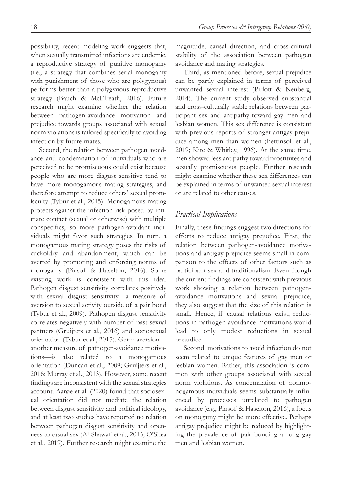possibility, recent modeling work suggests that, when sexually transmitted infections are endemic, a reproductive strategy of punitive monogamy (i.e., a strategy that combines serial monogamy with punishment of those who are polygynous) performs better than a polygynous reproductive strategy (Bauch & McElreath, 2016). Future research might examine whether the relation between pathogen-avoidance motivation and prejudice towards groups associated with sexual norm violations is tailored specifically to avoiding infection by future mates.

Second, the relation between pathogen avoidance and condemnation of individuals who are perceived to be promiscuous could exist because people who are more disgust sensitive tend to have more monogamous mating strategies, and therefore attempt to reduce others' sexual promiscuity (Tybur et al., 2015). Monogamous mating protects against the infection risk posed by intimate contact (sexual or otherwise) with multiple conspecifics, so more pathogen-avoidant individuals might favor such strategies. In turn, a monogamous mating strategy poses the risks of cuckoldry and abandonment, which can be averted by promoting and enforcing norms of monogamy (Pinsof & Haselton, 2016). Some existing work is consistent with this idea. Pathogen disgust sensitivity correlates positively with sexual disgust sensitivity—a measure of aversion to sexual activity outside of a pair bond (Tybur et al., 2009). Pathogen disgust sensitivity correlates negatively with number of past sexual partners (Gruijters et al., 2016) and sociosexual orientation (Tybur et al., 2015). Germ aversion another measure of pathogen-avoidance motivations—is also related to a monogamous orientation (Duncan et al., 2009; Gruijters et al., 2016; Murray et al., 2013). However, some recent findings are inconsistent with the sexual strategies account. Aarøe et al. (2020) found that sociosexual orientation did not mediate the relation between disgust sensitivity and political ideology, and at least two studies have reported no relation between pathogen disgust sensitivity and openness to casual sex (Al-Shawaf et al., 2015; O'Shea et al., 2019). Further research might examine the magnitude, causal direction, and cross-cultural stability of the association between pathogen avoidance and mating strategies.

Third, as mentioned before, sexual prejudice can be partly explained in terms of perceived unwanted sexual interest (Pirlott & Neuberg, 2014). The current study observed substantial and cross-culturally stable relations between participant sex and antipathy toward gay men and lesbian women. This sex difference is consistent with previous reports of stronger antigay prejudice among men than women (Bettinsoli et al., 2019; Kite & Whitley, 1996). At the same time, men showed less antipathy toward prostitutes and sexually promiscuous people. Further research might examine whether these sex differences can be explained in terms of unwanted sexual interest or are related to other causes.

## *Practical Implications*

Finally, these findings suggest two directions for efforts to reduce antigay prejudice. First, the relation between pathogen-avoidance motivations and antigay prejudice seems small in comparison to the effects of other factors such as participant sex and traditionalism. Even though the current findings are consistent with previous work showing a relation between pathogenavoidance motivations and sexual prejudice, they also suggest that the size of this relation is small. Hence, if causal relations exist, reductions in pathogen-avoidance motivations would lead to only modest reductions in sexual prejudice.

Second, motivations to avoid infection do not seem related to unique features of gay men or lesbian women. Rather, this association is common with other groups associated with sexual norm violations. As condemnation of nonmonogamous individuals seems substantially influenced by processes unrelated to pathogen avoidance (e.g., Pinsof & Haselton, 2016), a focus on monogamy might be more effective. Perhaps antigay prejudice might be reduced by highlighting the prevalence of pair bonding among gay men and lesbian women.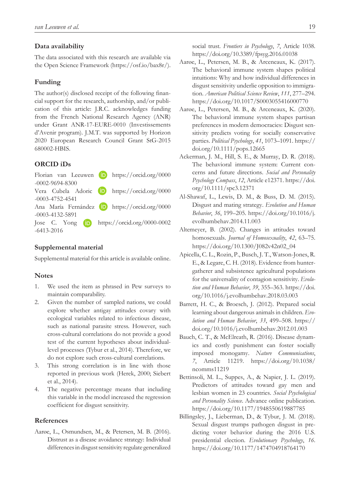#### **Data availability**

The data associated with this research are available via the Open Science Framework (<https://osf.io/bax8r/>).

### **Funding**

The author(s) disclosed receipt of the following financial support for the research, authorship, and/or publication of this article: J.R.C. acknowledges funding from the French National Research Agency (ANR) under Grant ANR-17-EURE-0010 (Investissements d'Avenir program). J.M.T. was supported by Horizon 2020 European Research Council Grant StG-2015 680002-HBIS.

### **ORCID iDs**

Florian van Leeuwen  $\Box$  [https://orcid.org/0000](https://orcid.org/0000-0002-9694-8300) [-0002-9694-8300](https://orcid.org/0000-0002-9694-8300) Vera Cubela Adoric **D** [https://orcid.org/0000](https://orcid.org/0000-0003-4752-4541) [-0003-4752-4541](https://orcid.org/0000-0003-4752-4541) Ana María Fernández **(D** [https://orcid.org/0000](https://orcid.org/0000-0003-4132-5891) [-0003-4132-5891](https://orcid.org/0000-0003-4132-5891) Jose C. Yong **iD** [https://orcid.org/0000-0002](https://orcid.org/0000-0002-6413-2016) [-6413-2016](https://orcid.org/0000-0002-6413-2016)

## **Supplemental material**

Supplemental material for this article is available online.

#### **Notes**

- 1. We used the item as phrased in Pew surveys to maintain comparability.
- 2. Given the number of sampled nations, we could explore whether antigay attitudes covary with ecological variables related to infectious disease, such as national parasite stress. However, such cross-cultural correlations do not provide a good test of the current hypotheses about individuallevel processes (Tybur et al., 2014). Therefore, we do not explore such cross-cultural correlations.
- 3. This strong correlation is in line with those reported in previous work (Herek, 2000; Siebert et al., 2014).
- 4. The negative percentage means that including this variable in the model increased the regression coefficient for disgust sensitivity.

#### **References**

Aarøe, L., Osmundsen, M., & Petersen, M. B. (2016). Distrust as a disease avoidance strategy: Individual differences in disgust sensitivity regulate generalized social trust. *Frontiers in Psychology*, *7*, Article 1038. <https://doi.org/10.3389/fpsyg.2016.01038>

- Aarøe, L., Petersen, M. B., & Arceneaux, K. (2017). The behavioral immune system shapes political intuitions: Why and how individual differences in disgust sensitivity underlie opposition to immigration. *American Political Science Review*, *111*, 277–294. <https://doi.org/10.1017/S0003055416000770>
- Aarøe, L., Petersen, M. B., & Arceneaux, K. (2020). The behavioral immune system shapes partisan preferences in modern democracies: Disgust sensitivity predicts voting for socially conservative parties. *Political Psychology*, *41*, 1073–1091. [https://](https://doi.org/10.1111/pops.12665) [doi.org/10.1111/pops.12665](https://doi.org/10.1111/pops.12665)
- Ackerman, J. M., Hill, S. E., & Murray, D. R. (2018). The behavioral immune system: Current concerns and future directions. *Social and Personality Psychology Compass*, *12*, Article e12371. [https://doi.](https://doi.org/10.1111/spc3.12371) [org/10.1111/spc3.12371](https://doi.org/10.1111/spc3.12371)
- Al-Shawaf, L., Lewis, D. M., & Buss, D. M. (2015). Disgust and mating strategy. *Evolution and Human Behavior*, *36*, 199–205. [https://doi.org/10.1016/j.](https://doi.org/10.1016/j.evolhumbehav.2014.11.003) [evolhumbehav.2014.11.003](https://doi.org/10.1016/j.evolhumbehav.2014.11.003)
- Altemeyer, B. (2002). Changes in attitudes toward homosexuals. *Journal of Homosexuality*, *42*, 63–75. [https://doi.org/10.1300/J082v42n02\\_04](https://doi.org/10.1300/J082v42n02_04)
- Apicella, C. L., Rozin, P., Busch, J. T., Watson-Jones, R. E., & Legare, C. H. (2018). Evidence from huntergatherer and subsistence agricultural populations for the universality of contagion sensitivity. *Evolution and Human Behavior*, *39*, 355–363. [https://doi.](https://doi.org/10.1016/j.evolhumbehav.2018.03.003) [org/10.1016/j.evolhumbehav.2018.03.003](https://doi.org/10.1016/j.evolhumbehav.2018.03.003)
- Barrett, H. C., & Broesch, J. (2012). Prepared social learning about dangerous animals in children. *Evolution and Human Behavior*, *33*, 499–508. [https://](https://doi.org/10.1016/j.evolhumbehav.2012.01.003) [doi.org/10.1016/j.evolhumbehav.2012.01.003](https://doi.org/10.1016/j.evolhumbehav.2012.01.003)
- Bauch, C. T., & McElreath, R. (2016). Disease dynamics and costly punishment can foster socially imposed monogamy. *Nature Communications*, *7*, Article 11219. [https://doi.org/10.1038/](https://doi.org/10.1038/ncomms11219) [ncomms11219](https://doi.org/10.1038/ncomms11219)
- Bettinsoli, M. L., Suppes, A., & Napier, J. L. (2019). Predictors of attitudes toward gay men and lesbian women in 23 countries. *Social Psychological and Personality Science*. Advance online publication. <https://doi.org/10.1177/1948550619887785>
- Billingsley, J., Lieberman, D., & Tybur, J. M. (2018). Sexual disgust trumps pathogen disgust in predicting voter behavior during the 2016 U.S. presidential election. *Evolutionary Psychology*, *16*. <https://doi.org/10.1177/1474704918764170>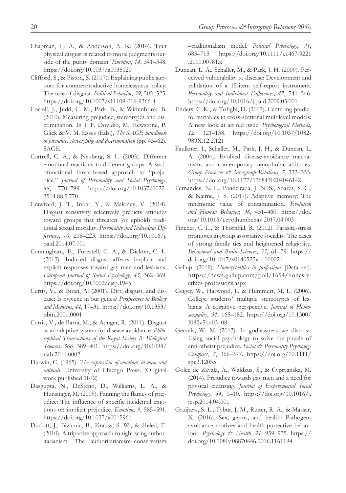- Chapman, H. A., & Anderson, A. K. (2014). Trait physical disgust is related to moral judgments outside of the purity domain. *Emotion*, *14*, 341–348. <https://doi.org/10.1037/a0035120>
- Clifford, S., & Piston, S. (2017). Explaining public support for counterproductive homelessness policy: The role of disgust. *Political Behavior*, *39*, 503–525. <https://doi.org/10.1007/s11109-016-9366-4>
- Correll, J., Judd, C. M., Park, B., & Wittenbrink, B. (2010). Measuring prejudice, stereotypes and discrimination. In J. F. Dovidio, M. Hewstone, P. Glick & V. M. Esses (Eds.), *The SAGE handbook of prejudice, stereotyping and discrimination* (pp. 45–62). SAGE.
- Cottrell, C. A., & Neuberg, S. L. (2005). Different emotional reactions to different groups: A sociofunctional threat-based approach to "prejudice." *Journal of Personality and Social Psychology*, *88*, 770–789. [https://doi.org/10.1037/0022-](https://doi.org/10.1037/0022-3514.88.5.770) [3514.88.5.770](https://doi.org/10.1037/0022-3514.88.5.770)
- Crawford, J. T., Inbar, Y., & Maloney, V. (2014). Disgust sensitivity selectively predicts attitudes toward groups that threaten (or uphold) traditional sexual morality. *Personality and Individual Differences*, *70*, 218–223. [https://doi.org/10.1016/j.](https://doi.org/10.1016/j.paid.2014.07.001) [paid.2014.07.001](https://doi.org/10.1016/j.paid.2014.07.001)
- Cunningham, E., Forestell, C. A., & Dickter, C. L. (2013). Induced disgust affects implicit and explicit responses toward gay men and lesbians. *European Journal of Social Psychology*, *43*, 362–369. <https://doi.org/10.1002/ejsp.1945>
- Curtis, V., & Biran, A. (2001). Dirt, disgust, and disease: Is hygiene in our genes? *Perspectives in Biology and Medicine*, *44*, 17–31. [https://doi.org/10.1353/](https://doi.org/10.1353/pbm.2001.0001) [pbm.2001.0001](https://doi.org/10.1353/pbm.2001.0001)
- Curtis, V., de Barra, M., & Aunger, R. (2011). Disgust as an adaptive system for disease avoidance. *Philosophical Transactions of the Royal Society B: Biological Sciences*, *366*, 389–401. [https://doi.org/10.1098/](https://doi.org/10.1098/rstb.2011.0002) [rstb.2011.0002](https://doi.org/10.1098/rstb.2011.0002)
- Darwin, C. (1965). *The expression of emotions in man and animals*. University of Chicago Press. (Original work published 1872)
- Dasgupta, N., DeSteno, D., Williams, L. A., & Hunsinger, M. (2009). Fanning the flames of prejudice: The influence of specific incidental emotions on implicit prejudice. *Emotion*, *9*, 585–591. <https://doi.org/10.1037/a0015961>
- Duckitt, J., Bizumic, B., Krauss, S. W., & Heled, E. (2010). A tripartite approach to right-wing authoritarianism: The authoritarianism–conservatism

–traditionalism model. *Political Psychology*, *31*, 685–715. [https://doi.org/10.1111/j.1467-9221](https://doi.org/10.1111/j.1467-9221.2010.00781.x) [.2010.00781.x](https://doi.org/10.1111/j.1467-9221.2010.00781.x)

- Duncan, L. A., Schaller, M., & Park, J. H. (2009). Perceived vulnerability to disease: Development and validation of a 15-item self-report instrument. *Personality and Individual Differences*, *47*, 541–546. <https://doi.org/10.1016/j.paid.2009.05.001>
- Enders, C. K., & Tofighi, D. (2007). Centering predictor variables in cross-sectional multilevel models: A new look at an old issue. *Psychological Methods*, *12*, 121–138. [https://doi.org/10.1037/1082-](https://doi.org/10.1037/1082-989X.12.2.121) [989X.12.2.121](https://doi.org/10.1037/1082-989X.12.2.121)
- Faulkner, J., Schaller, M., Park, J. H., & Duncan, L. A. (2004). Evolved disease-avoidance mechanisms and contemporary xenophobic attitudes. *Group Processes & Intergroup Relations*, *7*, 333–353. <https://doi.org/10.1177/1368430204046142>
- Fernandes, N. L., Pandeirada, J. N. S., Soares, S. C., & Nairne, J. S. (2017). Adaptive memory: The mnemonic value of contamination. *Evolution and Human Behavior*, *38*, 451–460. [https://doi.](https://doi.org/10.1016/j.evolhumbehav.2017.04.003) [org/10.1016/j.evolhumbehav.2017.04.003](https://doi.org/10.1016/j.evolhumbehav.2017.04.003)
- Fincher, C. L., & Thornhill, R. (2012). Parasite-stress promotes in-group assortative sociality: The cases of strong family ties and heightened religiosity. *Behavioral and Brain Sciences*, *35*, 61–79. [https://](https://doi.org/10.1017/s0140525x11000021) [doi.org/10.1017/s0140525x11000021](https://doi.org/10.1017/s0140525x11000021)
- Gallup. (2019). *Honesty/ethics in professions* [Data set]. [https://news.gallup.com/poll/1654/honesty](https://news.gallup.com/poll/1654/honesty-ethics-professions.aspx)[ethics-professions.aspx](https://news.gallup.com/poll/1654/honesty-ethics-professions.aspx)
- Geiger, W., Harwood, J., & Hummert, M. L. (2006). College students' multiple stereotypes of lesbians: A cognitive perspective. *Journal of Homosexuality*, *51*, 165–182. [https://doi.org/10.1300/](https://doi.org/10.1300/J082v51n03_08) [J082v51n03\\_08](https://doi.org/10.1300/J082v51n03_08)
- Gervais, W. M. (2013). In godlessness we distrust: Using social psychology to solve the puzzle of anti-atheist prejudice. *Social & Personality Psychology Compass*, *7*, 366–377. [https://doi.org/10.1111/](https://doi.org/10.1111/spc3.12035) [spc3.12035](https://doi.org/10.1111/spc3.12035)
- Golec de Zavala, A., Waldzus, S., & Cypryanska, M. (2014). Prejudice towards gay men and a need for physical cleansing. *Journal of Experimental Social Psychology*, *54*, 1–10. [https://doi.org/10.1016/j.](https://doi.org/10.1016/j.jesp.2014.04.001) [jesp.2014.04.001](https://doi.org/10.1016/j.jesp.2014.04.001)
- Gruijters, S. L., Tybur, J. M., Ruiter, R. A., & Massar, K. (2016). Sex, germs, and health: Pathogenavoidance motives and health-protective behaviour. *Psychology & Health*, *31*, 959–975. [https://](https://doi.org/10.1080/08870446.2016.1161194) [doi.org/10.1080/08870446.2016.1161194](https://doi.org/10.1080/08870446.2016.1161194)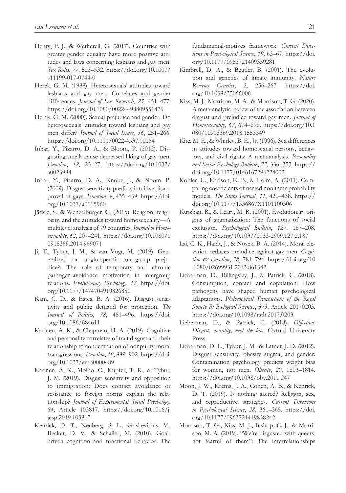- Henry, P. J., & Wetherell, G. (2017). Countries with greater gender equality have more positive attitudes and laws concerning lesbians and gay men. *Sex Roles*, *77*, 523–532. [https://doi.org/10.1007/](https://doi.org/10.1007/s11199-017-0744-0) [s11199-017-0744-0](https://doi.org/10.1007/s11199-017-0744-0)
- Herek, G. M. (1988). Heterosexuals' attitudes toward lesbians and gay men: Correlates and gender differences. *Journal of Sex Research*, *25*, 451–477. <https://doi.org/10.1080/00224498809551476>
- Herek, G. M. (2000). Sexual prejudice and gender: Do heterosexuals' attitudes toward lesbians and gay men differ? *Journal of Social Issues*, *56*, 251–266. <https://doi.org/10.1111/0022-4537.00164>
- Inbar, Y., Pizarro, D. A., & Bloom, P. (2012). Disgusting smells cause decreased liking of gay men. *Emotion*, *12*, 23–27. [https://doi.org/10.1037/](https://doi.org/10.1037/a0023984) [a0023984](https://doi.org/10.1037/a0023984)
- Inbar, Y., Pizarro, D. A., Knobe, J., & Bloom, P. (2009). Disgust sensitivity predicts intuitive disapproval of gays. *Emotion*, *9*, 435–439. [https://doi.](https://doi.org/10.1037/a0015960) [org/10.1037/a0015960](https://doi.org/10.1037/a0015960)
- Jäckle, S., & Wenzelburger, G. (2015). Religion, religiosity, and the attitudes toward homosexuality—A multilevel analysis of 79 countries. *Journal of Homosexuality*, *62*, 207–241. [https://doi.org/10.1080/0](https://doi.org/10.1080/00918369.2014.969071) [0918369.2014.969071](https://doi.org/10.1080/00918369.2014.969071)
- Ji, T., Tybur, J. M., & van Vugt, M. (2019). Generalized or origin-specific out-group prejudice?: The role of temporary and chronic pathogen-avoidance motivation in intergroup relations. *Evolutionary Psychology*, *17*. [https://doi.](https://doi.org/10.1177/1474704919826851) [org/10.1177/1474704919826851](https://doi.org/10.1177/1474704919826851)
- Kam, C. D., & Estes, B. A. (2016). Disgust sensitivity and public demand for protection. *The Journal of Politics*, *78*, 481–496. [https://doi.](https://doi.org/10.1086/684611) [org/10.1086/684611](https://doi.org/10.1086/684611)
- Karinen, A. K., & Chapman, H. A. (2019). Cognitive and personality correlates of trait disgust and their relationship to condemnation of nonpurity moral transgressions. *Emotion*, *19*, 889–902. [https://doi.](https://doi.org/10.1037/emo0000489) [org/10.1037/emo0000489](https://doi.org/10.1037/emo0000489)
- Karinen, A. K., Molho, C., Kupfer, T. R., & Tybur, J. M. (2019). Disgust sensitivity and opposition to immigration: Does contact avoidance or resistance to foreign norms explain the relationship? *Journal of Experimental Social Psychology*, *84*, Article 103817. [https://doi.org/10.1016/j.](https://doi.org/10.1016/j.jesp.2019.103817) [jesp.2019.103817](https://doi.org/10.1016/j.jesp.2019.103817)
- Kenrick, D. T., Neuberg, S. L., Griskevicius, V., Becker, D. V., & Schaller, M. (2010). Goaldriven cognition and functional behavior: The

fundamental-motives framework. *Current Directions in Psychological Science*, *19*, 63–67. [https://doi.](https://doi.org/10.1177/0963721409359281) [org/10.1177/0963721409359281](https://doi.org/10.1177/0963721409359281)

- Kimbrell, D. A., & Beutler, B. (2001). The evolution and genetics of innate immunity. *Nature Reviews Genetics*, *2*, 256–267. [https://doi.](https://doi.org/10.1038/35066006) [org/10.1038/35066006](https://doi.org/10.1038/35066006)
- Kiss, M. J., Morrison, M. A., & Morrison, T. G. (2020). A meta-analytic review of the association between disgust and prejudice toward gay men. *Journal of Homosexuality*, *67*, 674–696. [https://doi.org/10.1](https://doi.org/10.1080/00918369.2018.1553349) [080/00918369.2018.1553349](https://doi.org/10.1080/00918369.2018.1553349)
- Kite, M. E., & Whitley, B. E., Jr. (1996). Sex differences in attitudes toward homosexual persons, behaviors, and civil rights: A meta-analysis. *Personality and Social Psychology Bulletin*, *22*, 336–353. [https://](https://doi.org/10.1177/0146167296224002) [doi.org/10.1177/0146167296224002](https://doi.org/10.1177/0146167296224002)
- Kohler, U., Karlson, K. B., & Holm, A. (2011). Comparing coefficients of nested nonlinear probability models. *The Stata Journal*, *11*, 420–438. [https://](https://doi.org/10.1177/1536867X1101100306) [doi.org/10.1177/1536867X1101100306](https://doi.org/10.1177/1536867X1101100306)
- Kurzban, R., & Leary, M. R. (2001). Evolutionary origins of stigmatization: The functions of social exclusion. *Psychological Bulletin*, *127*, 187–208. <https://doi.org/10.1037/0033-2909.127.2.187>
- Lai, C. K., Haidt, J., & Nosek, B. A. (2014). Moral elevation reduces prejudice against gay men. *Cognition & Emotion*, *28*, 781–794. [https://doi.org/10](https://doi.org/10.1080/02699931.2013.861342) [.1080/02699931.2013.861342](https://doi.org/10.1080/02699931.2013.861342)
- Lieberman, D., Billingsley, J., & Patrick, C. (2018). Consumption, contact and copulation: How pathogens have shaped human psychological adaptations. *Philosophical Transactions of the Royal Society B: Biological Sciences*, *373*, Article 20170203. <https://doi.org/10.1098/rstb.2017.0203>
- Lieberman, D., & Patrick, C. (2018). *Objection: Disgust, morality, and the law*. Oxford University Press.
- Lieberman, D. L., Tybur, J. M., & Latner, J. D. (2012). Disgust sensitivity, obesity stigma, and gender: Contamination psychology predicts weight bias for women, not men. *Obesity*, *20*, 1803–1814. <https://doi.org/10.1038/oby.2011.247>
- Moon, J. W., Krems, J. A., Cohen, A. B., & Kenrick, D. T. (2019). Is nothing sacred? Religion, sex, and reproductive strategies. *Current Directions in Psychological Science*, *28*, 361–365. [https://doi.](https://doi.org/10.1177/0963721419838242) [org/10.1177/0963721419838242](https://doi.org/10.1177/0963721419838242)
- Morrison, T. G., Kiss, M. J., Bishop, C. J., & Morrison, M. A. (2019). "We're disgusted with queers, not fearful of them": The interrelationships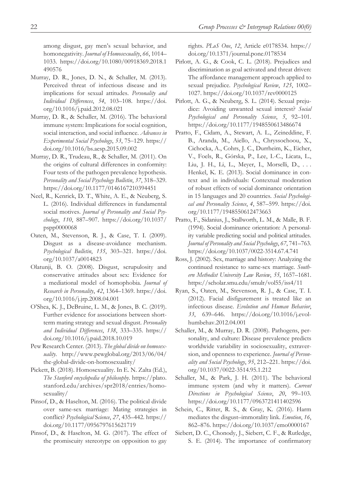among disgust, gay men's sexual behavior, and homonegativity. *Journal of Homosexuality*, *66*, 1014– 1033. [https://doi.org/10.1080/00918369.2018.1](https://doi.org/10.1080/00918369.2018.1490576) [490576](https://doi.org/10.1080/00918369.2018.1490576)

- Murray, D. R., Jones, D. N., & Schaller, M. (2013). Perceived threat of infectious disease and its implications for sexual attitudes. *Personality and Individual Differences*, *54*, 103–108. [https://doi.](https://doi.org/10.1016/j.paid.2012.08.021) [org/10.1016/j.paid.2012.08.021](https://doi.org/10.1016/j.paid.2012.08.021)
- Murray, D. R., & Schaller, M. (2016). The behavioral immune system: Implications for social cognition, social interaction, and social influence. *Advances in Experimental Social Psychology*, *53*, 75‒129. [https://](https://doi.org/10.1016/bs.aesp.2015.09.002) [doi.org/10.1016/bs.aesp.2015.09.002](https://doi.org/10.1016/bs.aesp.2015.09.002)
- Murray, D. R., Trudeau, R., & Schaller, M. (2011). On the origins of cultural differences in conformity: Four tests of the pathogen prevalence hypothesis. *Personality and Social Psychology Bulletin*, *37*, 318–329. <https://doi.org/10.1177/0146167210394451>
- Neel, R., Kenrick, D. T., White, A. E., & Neuberg, S. L. (2016). Individual differences in fundamental social motives. *Journal of Personality and Social Psychology*, *110*, 887–907. [https://doi.org/10.1037/](https://doi.org/10.1037/pspp0000068) [pspp0000068](https://doi.org/10.1037/pspp0000068)
- Oaten, M., Stevenson, R. J., & Case, T. I. (2009). Disgust as a disease-avoidance mechanism. *Psychological Bulletin*, *135*, 303–321. [https://doi.](https://doi.org/10.1037/a0014823) [org/10.1037/a0014823](https://doi.org/10.1037/a0014823)
- Olatunji, B. O. (2008). Disgust, scrupulosity and conservative attitudes about sex: Evidence for a mediational model of homophobia. *Journal of Research in Personality*, *42*, 1364–1369. [https://doi.](https://doi.org/10.1016/j.jrp.2008.04.001) [org/10.1016/j.jrp.2008.04.001](https://doi.org/10.1016/j.jrp.2008.04.001)
- O'Shea, K. J., DeBruine, L. M., & Jones, B. C. (2019). Further evidence for associations between shortterm mating strategy and sexual disgust. *Personality and Individual Differences*, *138*, 333–335. [https://](https://doi.org/10.1016/j.paid.2018.10.019) [doi.org/10.1016/j.paid.2018.10.019](https://doi.org/10.1016/j.paid.2018.10.019)
- Pew Research Center. (2013). *The global divide on homosexuality*. [http://www.pewglobal.org/2013/06/04/](http://www.pewglobal.org/2013/06/04/the-global-divide-on-homosexuality/) [the-global-divide-on-homosexuality/](http://www.pewglobal.org/2013/06/04/the-global-divide-on-homosexuality/)
- Pickett, B. (2018). Homosexuality. In E. N. Zalta (Ed.), *The Stanford encyclopedia of philosophy*. [https://plato.](https://plato.stanford.edu/archives/spr2018/entries/homosexuality/) [stanford.edu/archives/spr2018/entries/homo](https://plato.stanford.edu/archives/spr2018/entries/homosexuality/)[sexuality/](https://plato.stanford.edu/archives/spr2018/entries/homosexuality/)
- Pinsof, D., & Haselton, M. (2016). The political divide over same-sex marriage: Mating strategies in conflict? *Psychological* S*cience*, *27*, 435–442. [https://](https://doi.org/10.1177/0956797615621719) [doi.org/10.1177/0956797615621719](https://doi.org/10.1177/0956797615621719)
- Pinsof, D., & Haselton, M. G. (2017). The effect of the promiscuity stereotype on opposition to gay

rights. *PLoS One*, *12*, Article e0178534. [https://](https://doi.org/10.1371/journal.pone.0178534) [doi.org/10.1371/journal.pone.0178534](https://doi.org/10.1371/journal.pone.0178534)

- Pirlott, A. G., & Cook, C. L. (2018). Prejudices and discrimination as goal activated and threat driven: The affordance management approach applied to sexual prejudice. *Psychological Review*, *125*, 1002– 1027.<https://doi.org/10.1037/rev0000125>
- Pirlott, A. G., & Neuberg, S. L. (2014). Sexual prejudice: Avoiding unwanted sexual interest? *Social Psychological and Personality Science*, *5*, 92–101. <https://doi.org/10.1177/1948550613486674>
- Pratto, F., Cidam, A., Stewart, A. L., Zeineddine, F. B., Aranda, M., Aiello, A., Chryssochoou, X., Cichocka, A., Cohrs, J. C., Durrheim, K., Eicher, V., Foels, R., Górska, P., Lee, I.-C., Licata, L., Liu, J. H., Li, L., Meyer, I., Morselli, D., . . . Henkel, K. E. (2013). Social dominance in context and in individuals: Contextual moderation of robust effects of social dominance orientation in 15 languages and 20 countries. *Social Psychological and Personality Science*, *4*, 587–599. [https://doi.](https://doi.org/10.1177/1948550612473663) [org/10.1177/1948550612473663](https://doi.org/10.1177/1948550612473663)
- Pratto, F., Sidanius, J., Stallworth, L. M., & Malle, B. F. (1994). Social dominance orientation: A personality variable predicting social and political attitudes. *Journal of Personality and Social Psychology*, *67*, 741–763. <https://doi.org/10.1037/0022-3514.67.4.741>
- Ross, J. (2002). Sex, marriage and history: Analyzing the continued resistance to same-sex marriage. *Southern Methodist University Law Review*, *55*, 1657–1681. <https://scholar.smu.edu/smulr/vol55/iss4/11>
- Ryan, S., Oaten, M., Stevenson, R. J., & Case, T. I. (2012). Facial disfigurement is treated like an infectious disease. *Evolution and Human Behavior*, *33*, 639–646. [https://doi.org/10.1016/j.evol](https://doi.org/10.1016/j.evolhumbehav.2012.04.001)[humbehav.2012.04.001](https://doi.org/10.1016/j.evolhumbehav.2012.04.001)
- Schaller, M., & Murray, D. R. (2008). Pathogens, personality, and culture: Disease prevalence predicts worldwide variability in sociosexuality, extraversion, and openness to experience. *Journal of Personality and Social Psychology*, *95*, 212–221. [https://doi.](https://doi.org/10.1037/0022-3514.95.1.212) [org/10.1037/0022-3514.95.1.212](https://doi.org/10.1037/0022-3514.95.1.212)
- Schaller, M., & Park, J. H. (2011). The behavioral immune system (and why it matters). *Current Directions in Psychological Science*, *20*, 99–103. <https://doi.org/10.1177/0963721411402596>
- Schein, C., Ritter, R. S., & Gray, K. (2016). Harm mediates the disgust–immorality link. *Emotion*, *16*, 862–876.<https://doi.org/10.1037/emo0000167>
- Siebert, D. C., Chonody, J., Siebert, C. F., & Rutledge, S. E. (2014). The importance of confirmatory